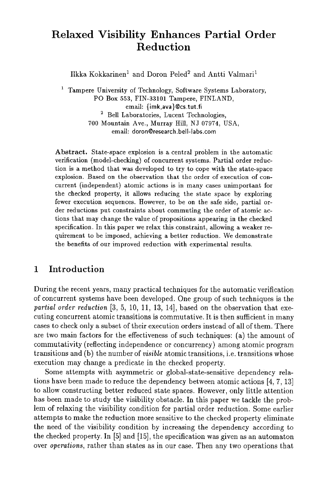# **Relaxed Visibility Enhances Partial Order Reduction**

Ilkka Kokkarinen<sup>1</sup> and Doron Peled<sup>2</sup> and Antti Valmari<sup>1</sup>

 $\mathbf 1$ Tampere University of Technology, Software Systems Laboratory, PO Box 553, FIN-33101 Tampere, FINLAND, email: {imk,ava}@cs.tut.fi 2 Bell Laboratories, Lucent Technologies, 700 Mountain Ave., Murray Hill, NJ 07974, USA, email: doron@research.bell-labs.com

Abstract. State-space explosion is a central problem in the automatic verification (model-checking) of concurrent systems. Partial order reduction is a method that was developed to try to cope with the state-space explosion. Based on the observation that the order of execution of concurrent (independent) atomic actions is in many cases unimportant for the checked property, it allows reducing the state space by exploring fewer execution sequences. However, to be on the safe side, partial order reductions put constraints about commuting the order of atomic actions that may change the value of propositions appearing in the checked specification. In this paper we relax this constraint, allowing a weaker requirement to be imposed, achieving a better reduction. We demonstrate the benefits of our improved reduction with experimental results.

# **1 Introduction**

During the recent years, many practical techniques for the automatic verification of concurrent systems have been developed. One group of such techniques is the *partial order reduction* [3, 5, 10, 11, 13, 14], based on the observation that executing concurrent atomic transitions is commutative. It is then sufficient in many cases to check only a subset of their execution orders instead of all of them. There are two main factors for the effectiveness of such techniques: (a) the amount of commutativity (reflecting independence or concurrency) among atomic program transitions and (b) the number of *visible* atomic transitions, i.e. transitions whose execution may change a predicate in the checked property.

Some attempts with asymmetric or global-state-sensitive dependency relations have been made to reduce the dependency between atomic actions [4, 7, 13] to allow constructing better reduced state spaces. However, only little attention has been made to study the visibility obstacle. In this paper we tackle the problem of relaxing the visibility condition for partial order reduction. Some earlier attempts to make the reduction more sensitive to the checked property eliminate the need of the visibility condition by increasing the dependency according to the checked property. In [5] and [15], the specification was given as an automaton over *operations,* rather than states as in our case. Then any two operations that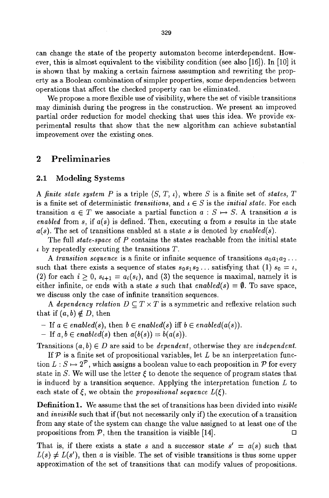can change the state of the property automaton become interdependent. However, this is almost equivalent to the visibility condition (see also [16]). In [10] it is shown that by making a certain fairness assumption and rewriting the property as a Boolean combination of simpler properties, some dependencies between operations that affect the checked property can be eliminated.

We propose a more flexible use of visibility, where the set of visible transitions may diminish during the progress in the construction. We present an improved partial order reduction for model checking that uses this idea. We provide experimental results that show that the new algorithm can achieve substantial improvement over the existing ones.

### 2 Preliminaries

#### **2.1 Modeling** Systems

*A finite state system P is a triple*  $\langle S, T, \iota \rangle$ *, where S is a finite set of <i>states*, T is a finite set of deterministic *transitions*, and  $\iota \in S$  is the *initial state*. For each transition  $a \in T$  we associate a partial function  $a : S \mapsto S$ . A transition a is *enabled* from s, if *a(s)* is defined. Then, executing a from s results in the state *a(s).* The set of transitions enabled at a state s is denoted by *enabled(s).* 

The full *state-space* of P contains the states reachable from the initial state  $\iota$  by repeatedly executing the transitions T.

A *transition sequence* is a finite or infinite sequence of transitions  $a_0a_1a_2...$ such that there exists a sequence of states  $s_0s_1s_2...$  satisfying that (1)  $s_0 = \iota$ , (2) for each  $i > 0$ ,  $s_{i+1} = a_i(s_i)$ , and (3) the sequence is maximal, namely it is either infinite, or ends with a state s such that  $enabled(s) = \emptyset$ . To save space, we discuss only the case of infinite transition sequences.

*A dependency relation*  $D \subseteq T \times T$  *is a symmetric and reflexive relation such* that if  $(a, b) \notin D$ , then

- *-* If  $a \in enabled(s)$ , then  $b \in enabled(s)$  iff  $b \in enabled(a(s))$ .
- If  $a, b \in enabled(s)$  then  $a(b(s)) = b(a(s))$ .

Transitions  $(a, b) \in D$  are said to be *dependent*, otherwise they are *independent*.

If  $P$  is a finite set of propositional variables, let  $L$  be an interpretation function  $L : S \mapsto 2^{\mathcal{P}}$ , which assigns a boolean value to each proposition in  $\mathcal{P}$  for every state in S. We will use the letter  $\xi$  to denote the sequence of program states that is induced by a transition sequence. Applying the interpretation function  $L$  to each state of  $\zeta$ , we obtain the *propositional sequence*  $L(\zeta)$ .

Definition 1. We assume that the set of transitions has been divided into *visible*  and *invisible* such that if (but not necessarily only if) the execution of a transition from any state of the system can change the value assigned to at least one of the propositions from  $P$ , then the transition is visible [14].

That is, if there exists a state s and a successor state  $s' = a(s)$  such that  $L(s) \neq L(s')$ , then a is visible. The set of visible transitions is thus some upper approximation of the set of transitions that can modify values of propositions.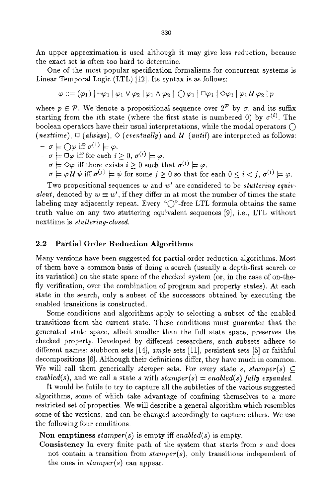An upper approximation is used although it may give less reduction, because the exact set is often too hard to determine.

One of the most popular specification formalisms for concurrent systems is Linear Temporal Logic (LTL) [12]. Its syntax is as follows:

$$
\varphi ::= (\varphi_1) | \neg \varphi_1 | \varphi_1 \vee \varphi_2 | \varphi_1 \wedge \varphi_2 | \bigcirc \varphi_1 | \Box \varphi_1 | \Diamond \varphi_1 | \varphi_1 \mathcal{U} \varphi_2 | p
$$

where  $p \in \mathcal{P}$ . We denote a propositional sequence over  $2^{\mathcal{P}}$  by  $\sigma$ , and its suffix starting from the *i*th state (where the first state is numbered 0) by  $\sigma^{(i)}$ . The boolean operators have their usual interpretations, while the modal operators  $\bigcap$ (*nexttime*),  $\Box$  (*always*),  $\Diamond$  (*eventually*) and *U* (*until*) are interpreted as follows:

- $-\sigma \models \bigcirc \varphi$  iff  $\sigma^{(1)} \models \varphi$ .
- $-\sigma \models \Box \varphi$  iff for each  $i > 0$ ,  $\sigma^{(i)} \models \varphi$ .
- $-\sigma = \Diamond \varphi$  iff there exists  $i \geq 0$  such that  $\sigma^{(i)} \models \varphi$ .
- $-\sigma \models \varphi \mathcal{U} \psi \text{ iff } \sigma^{(j)} \models \psi \text{ for some } j \geq 0 \text{ so that for each } 0 \leq i < j, \sigma^{(i)} \models \varphi.$

Two propositional sequences w and w' are considered to be *stuttering equivalent,* denoted by  $w \equiv w'$ , if they differ in at most the number of times the state labeling may adjacently repeat. Every *"C)'-free* LTL formula obtains the same truth value on any two stuttering equivalent sequences [9], i.e., LTL without nexttime is *stuttering-closed.* 

#### **2.2 Partial Order Reduction Algorithms**

Many versions have been suggested for partial order reduction algorithms. Most of them have a common basis of doing a search (usually a depth-first search or its variation) on the state space of the checked system (or, in the case of on-thefly verification, over the combination of program and property states). At each state in the search, only a subset of the successors obtained by executing the enabled transitions is constructed.

Some conditions and algorithms apply to selecting a subset of the enabled transitions from the current state. These conditions must guarantee that the generated state space, albeit smaller than the full state space, preserves the checked property. Developed by different researchers, such subsets adhere to different names: stubborn sets [14], *ample* sets [11], persistent sets [5] or faithful decompositions [6]. Although their definitions differ, they have much in common. We will call them generically *stamper* sets. For every state *s, stamper(s)*  $\subset$ *enabled(s),* and we call a state s with  $stamper(s) = enabled(s)$  fully expanded.

It would be futile to try to capture all the subtleties of the various suggested algorithms, some of which take advantage of confining themselves to a more restricted set of properties. We will describe a general algorithm which resembles some of the versions, and can be changed accordingly to capture others. We use the following four conditions.

Non emptiness *stamper(s)* is empty iff *enabled(s)* is empty.

Consistency In every finite path of the system that starts from s and does not contain a transition from *stamper(s),* only transitions independent of the ones in *stamper(s)* can appear.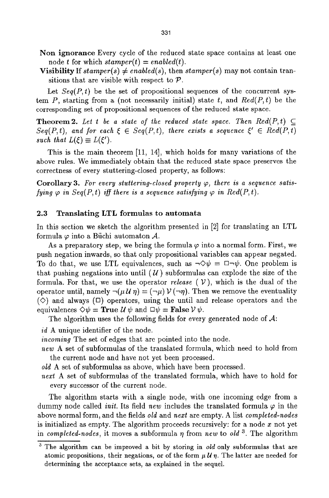- Non ignorance Every cycle of the reduced state space contains at least one node t for which  $stamper(t) = enabled(t)$ .
- Visibility If  $stamper(s) \neq enabled(s)$ , then  $stamper(s)$  may not contain transitions that are visible with respect to  $P$ .

Let  $Seq(P, t)$  be the set of propositional sequences of the concurrent system P, starting from a (not necessarily initial) state t, and  $Red(P, t)$  be the corresponding set of propositional sequences of the reduced state space.

**Theorem 2.** Let t be a state of the reduced state space. Then  $Red(P,t)$   $\subset$  $Seq(P,t)$ , and for each  $\xi \in Seq(P,t)$ , there exists a sequence  $\xi' \in Red(P,t)$ *such that*  $L(\xi) \equiv L(\xi').$ 

This is the main theorem [11, 14], which holds for many variations of the above rules. We immediately obtain that the reduced state space preserves the correctness of every stuttering-closed property, as follows:

Corollary 3. For every stuttering-closed property  $\varphi$ , there is a sequence satis*fying*  $\varphi$  *in Seq(P,t) iff there is a sequence satisfying*  $\varphi$  *in Red(P,t).* 

#### 2.3 Translating LTL formulas to automata

In this section we sketch the algorithm presented in [2] for translating an LTL formula  $\varphi$  into a Büchi automaton A.

As a preparatory step, we bring the formula  $\varphi$  into a normal form. First, we push negation inwards, so that only propositional variables can appear negated. To do that, we use LTL equivalences, such as  $\neg \Diamond \psi = \Box \neg \psi$ . One problem is that pushing negations into until  $(U)$  subformulas can explode the size of the formula. For that, we use the operator *release*  $(V)$ , which is the dual of the operator until, namely  $\neg(\mu U \eta) = (\neg \mu) V(\neg \eta)$ . Then we remove the eventuality  $(\Diamond)$  and always  $(\Box)$  operators, using the until and release operators and the equivalences  $\Diamond \psi = \textbf{True} \mathcal{U} \psi$  and  $\Box \psi = \textbf{False} \mathcal{V} \psi$ .

The algorithm uses the following fields for every generated node of  $A$ :

*id* A unique identifier of the node.

*incoming* The set of edges that are pointed into the node.

*new* A set of subformulas of the translated formula, which need to hold from the current node and have not yet been processed.

*old* A set of subformulas as above, which have been processed.

*next* A set of subformulas of the translated formula, which have to hold for every successor of the current node.

The algorithm starts with a single node, with one incoming edge from a dummy node called *init*. Its field *new* includes the translated formula  $\varphi$  in the above normal form, and the fields *old* and *next* are empty. A list *completed-nodes*  is initialized as empty. The algorithm proceeds recursively: for a node  $x$  not yet in *completed-nodes*, it moves a subformula  $\eta$  from *new* to *old*<sup>3</sup>. The algorithm

<sup>3</sup> The algorithm can be improved a bit by storing in *old* only subformulas that are atomic propositions, their negations, or of the form  $\mu U \eta$ . The latter are needed for determining the acceptance sets, as explained in the sequel.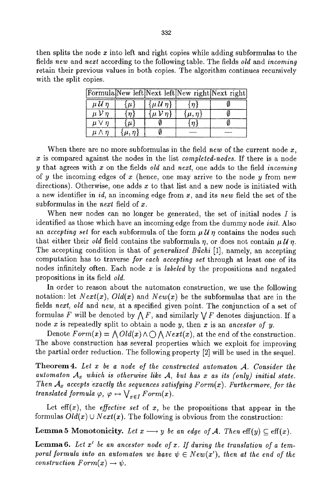then splits the node  $x$  into left and right copies while adding subformulas to the fields *new* and *next* according to the following table. The fields *old* and *incoming*  retain their previous values in both copies. The algorithm continues recursively with the split copies.

|                |                    |                     |             | Formula New left Next left New right Next right |
|----------------|--------------------|---------------------|-------------|-------------------------------------------------|
| $\mu$ U $\eta$ | $\mathcal{U}^*$    | $\{\mu U\eta\}$     | n           |                                                 |
| n              | $\{n$              | $\{u\mathcal{V}n\}$ | $\mu, \eta$ |                                                 |
| u i            | $\boldsymbol{\mu}$ |                     |             |                                                 |
|                |                    |                     |             |                                                 |

When there are no more subformulas in the field *new* of the current node  $x$ , x is compared against the nodes in the list *completed-nodes.* If there is a node y that agrees with x on the fields *old* and *next,* one adds to the field *incoming*  of y the incoming edges of x (hence, one may arrive to the node y from new directions). Otherwise, one adds  $x$  to that list and a new node is initiated with a new identifier in *id,* an incoming edge from x, and its *new* field the set of the subformulas in the *next* field of x.

When new nodes can no longer be generated, the set of initial nodes  $I$  is identified as those which have an incoming edge from the dummy node *init.* Also an *accepting set* for each subformula of the form  $\mu U \eta$  contains the nodes such that either their *old* field contains the subformula n, or does not contain  $\mu U$  n. The accepting condition is that of *generalized Biichi* [1], namely, an accepting computation has to traverse *for each accepting set* through at least one of its nodes infinitely often. Each node x is *labeled* by the propositions and negated propositions in its field *old.* 

In order to reason about the automaton construction, we use the following notation: let  $Next(x)$ ,  $Old(x)$  and  $New(x)$  be the subformulas that are in the fields *next, old* and *new,* at a specified given point. The conjunction of a set of formulas F will be denoted by  $\bigwedge F$ , and similarly  $\bigvee F$  denotes disjunction. If a node x is repeatedly split to obtain a node y, then x is an *ancestor of y.* 

Denote  $Form(x) = \bigwedge Old(x) \wedge \bigcup \bigwedge Next(x)$ , at the end of the construction. The above construction has several properties which we exploit for improving the partial order reduction. The following property [2] will be used in the sequel.

Theorem 4. Let x be a node of the constructed automaton A. Consider the automaton  $A_x$  which is otherwise like  $A$ , but has x as its (only) initial state. *Then*  $A_x$  *accepts exactly the sequences satisfying*  $Form(x)$ *. Furthermore, for the translated formula*  $\varphi$ *,*  $\varphi \leftrightarrow \bigvee_{x \in I} Form(x)$ *.* 

Let  $\text{eff}(x)$ , the *effective set* of  $x$ , be the propositions that appear in the formulas  $Old(x) \cup Next(x)$ . The following is obvious from the construction:

**Lemma 5 Monotonicity.** Let  $x \rightarrow y$  be an edge of A. Then  $\text{eff}(y) \subset \text{eff}(x)$ .

Lemma 6. Let x' be an ancestor node of x. If during the translation of a tem*poral formula into an automaton we have*  $\psi \in New(x')$ , then at the end of the *construction*  $Form(x) \rightarrow \psi$ *.*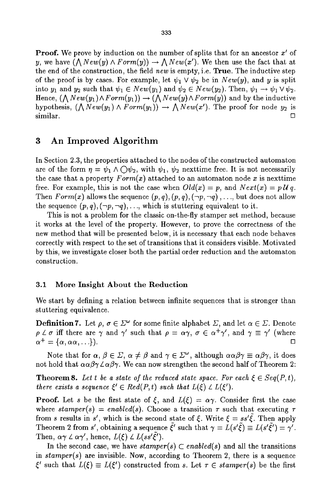**Proof.** We prove by induction on the number of splits that for an ancestor  $x'$  of y, we have  $(\bigwedge New(y) \land Form(y)) \rightarrow \bigwedge New(x')$ . We then use the fact that at the end of the construction, the field *new* is empty, i.e. True. The inductive step of the proof is by cases. For example, let  $\psi_1 \vee \psi_2$  be in  $New(y)$ , and y is split into  $y_1$  and  $y_2$  such that  $\psi_1 \in New(y_1)$  and  $\psi_2 \in New(y_2)$ . Then,  $\psi_1 \to \psi_1 \vee \psi_2$ . Hence,  $(\bigwedge New(y_1) \wedge Form(y_1)) \rightarrow (\bigwedge New(y) \wedge Form(y))$  and by the inductive hypothesis,  $(\bigwedge New(y_1) \land Form(y_1)) \rightarrow \bigwedge New(x')$ . The proof for node  $y_2$  is  $\Box$ 

## 3 An Improved Algorithm

In Section 2.3, the properties attached to the nodes of the constructed automaton are of the form  $\eta = \psi_1 \wedge \bigcirc \psi_2$ , with  $\psi_1$ ,  $\psi_2$  nexttime free. It is not necessarily the case that a property  $Form(x)$  attached to an automaton node x is next time free. For example, this is not the case when  $Old(x) = p$ , and  $Next(x) = p \mathcal{U} q$ . Then *Form(x)* allows the sequence  $(p, q)$ ,  $(p, q)$ ,  $(\neg p, \neg q)$ ,..., but does not allow the sequence  $(p, q)$ ,  $(\neg p, \neg q)$ ,..., which is stuttering equivalent to it.

This is not a problem for the classic on-the-fly stamper set method, because it works at the level of the property. However, to prove the correctness of the new method that will be presented below, it is necessary that each node behaves correctly with respect to the set of transitions that it considers visible. Motivated by this, we investigate closer both the partial order reduction and the automaton construction.

#### 3.1 More Insight About the Reduction

We start by defining a relation between infinite sequences that is stronger than stuttering equivalence.

**Definition 7.** Let  $\rho, \sigma \in \Sigma^{\omega}$  for some finite alphabet  $\Sigma$ , and let  $\alpha \in \Sigma$ . Denote  $\rho \measuredangle \sigma$  iff there are  $\gamma$  and  $\gamma'$  such that  $\rho = \alpha \gamma$ ,  $\sigma \in \alpha^+ \gamma'$ , and  $\gamma \equiv \gamma'$  (where  $\alpha^+ = {\alpha, \alpha\alpha, \ldots}.$ 

Note that for  $\alpha, \beta \in \Sigma$ ,  $\alpha \neq \beta$  and  $\gamma \in \Sigma^{\omega}$ , although  $\alpha \alpha \beta \gamma \equiv \alpha \beta \gamma$ , it does not hold that  $\alpha \alpha \beta \gamma \angle \alpha \beta \gamma$ . We can now strengthen the second half of Theorem 2:

**Theorem 8.** Let t be a state of the reduced state space. For each  $\xi \in Seq(P, t)$ , *there exists a sequence*  $\xi' \in Red(P, t)$  *such that*  $L(\xi) \perp L(\xi').$ 

**Proof.** Let s be the first state of  $\xi$ , and  $L(\xi) = \alpha \gamma$ . Consider first the case where  $stamper(s) = enabled(s)$ . Choose a transition  $\tau$  such that executing  $\tau$ from s results in s', which is the second state of  $\xi$ . Write  $\xi = ss'\xi$ . Then apply Theorem 2 from s', obtaining a sequence  $\tilde{\xi}'$  such that  $\gamma = L(s'\tilde{\xi}) \equiv L(s'\tilde{\xi}') = \gamma'$ . Then,  $\alpha\gamma \angle \alpha\gamma'$ , hence,  $L(\xi) \angle L(ss'\tilde{\xi}')$ .

In the second case, we have  $stamper(s) \subset enabled(s)$  and all the transitions in *stamper(s)* are invisible. Now, according to Theorem 2, there is a sequence  $\xi'$  such that  $L(\xi) \equiv L(\xi')$  constructed from s. Let  $\tau \in \mathit{stamper}(s)$  be the first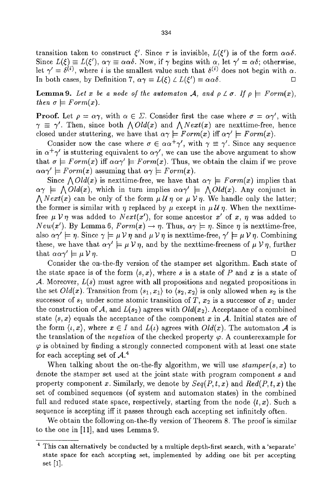transition taken to construct  $\xi'$ . Since  $\tau$  is invisible,  $L(\xi')$  is of the form  $\alpha\alpha\delta$ . Since  $L(\xi) \equiv L(\xi'), \alpha \gamma \equiv \alpha \alpha \delta$ . Now, if  $\gamma$  begins with  $\alpha$ , let  $\gamma' = \alpha \delta$ ; otherwise, let  $\gamma' = \delta^{(i)}$ , where i is the smallest value such that  $\delta^{(i)}$  does not begin with  $\alpha$ . In both cases, by Definition 7,  $\alpha \gamma = L(\xi) \angle L(\xi') = \alpha \alpha \delta$ .

**Lemma9.** Let x be a node of the automaton A, and  $\rho \perp \sigma$ . If  $\rho \models Form(x)$ , *then*  $\sigma \models Form(x)$ *.* 

**Proof.** Let  $\rho = \alpha \gamma$ , with  $\alpha \in \Sigma$ . Consider first the case where  $\sigma = \alpha \gamma'$ , with  $\gamma \equiv \gamma'$ . Then, since both  $\Lambda Old(x)$  and  $\Lambda Next(x)$  are nexttime-free, hence closed under stuttering, we have that  $\alpha \gamma \models Form(x)$  iff  $\alpha \gamma' \models Form(x)$ .

Consider now the case where  $\sigma \in \alpha \alpha^+ \gamma'$ , with  $\gamma \equiv \gamma'$ . Since any sequence in  $\alpha^+\gamma'$  is stuttering equivalent to  $\alpha\gamma'$ , we can use the above argument to show that  $\sigma \models Form(x)$  iff  $\alpha \alpha \gamma' \models Form(x)$ . Thus, we obtain the claim if we prove  $\alpha \alpha \gamma' \models Form(x)$  assuming that  $\alpha \gamma \models Form(x)$ .

Since  $\bigwedge Old(x)$  is nexttime-free, we have that  $\alpha\gamma \models Form(x)$  implies that  $\alpha \gamma$   $\models \bigwedge Old(x)$ , which in turn implies  $\alpha \alpha \gamma' \models \bigwedge Old(x)$ . Any conjunct in *A Next(x)* can be only of the form  $\mu U \eta$  or  $\mu V \eta$ . We handle only the latter; the former is similar with  $\eta$  replaced by  $\mu$  except in  $\mu U \eta$ . When the nexttimefree  $\mu V \eta$  was added to  $Next(x')$ , for some ancestor x' of x,  $\eta$  was added to *New(x').* By Lemma 6,  $Form(x) \rightarrow \eta$ . Thus,  $\alpha \gamma \models \eta$ . Since  $\eta$  is nexttime-free, also  $\alpha\gamma' \models \eta$ . Since  $\gamma \models \mu \nu \eta$  and  $\mu \nu \eta$  is nexttime-free,  $\gamma' \models \mu \nu \eta$ . Combining these, we have that  $\alpha\gamma' \models \mu \,\nu \eta$ , and by the nexttime-freeness of  $\mu \,\nu \eta$ , further that  $\alpha \alpha \gamma' \models \mu \mathcal{V} \eta$ .

Consider the on-the-fly version of the stamper set algorithm. Each state of the state space is of the form  $\langle s, x \rangle$ , where s is a state of P and x is a state of A. Moreover, *L(s)* must agree with all propositions and negated propositions in the set  $Old(x)$ . Transition from  $\langle s_1, x_1 \rangle$  to  $\langle s_2, x_2 \rangle$  is only allowed when  $s_2$  is the successor of  $s_1$  under some atomic transition of T,  $x_2$  is a successor of  $x_1$  under the construction of A, and  $L(s_2)$  agrees with  $Old(x_2)$ . Acceptance of a combined state  $\langle s, x \rangle$  equals the acceptance of the component x in A. Initial states are of the form  $\langle \iota, x \rangle$ , where  $x \in I$  and  $L(\iota)$  agrees with  $Old(x)$ . The automaton A is the translation of the *negation* of the checked property  $\varphi$ . A counterexample for  $\varphi$  is obtained by finding a strongly connected component with at least one state for each accepting set of  $A<sup>4</sup>$ .

When talking about the on-the-fly algorithm, we will use  $stamper(s, x)$  to denote the stamper set used at the joint state with program component s and property component x. Similarly, we denote by *Seq(P, t, x)* and *Red(P, t, x)* the set of combined sequences (of system and automaton states) in the combined full and reduced state space, respectively, starting from the node  $(t, x)$ . Such a sequence is accepting iff it passes through each accepting set infinitely often.

We obtain the following on-the-fly version of Theorem 8. The proof is similar to the one in [11], and uses Lemma 9.

<sup>4</sup> This can alternatively be conducted by a multiple depth-first search, with a 'separate' state space for each accepting set, implemented by adding one bit per accepting set [1].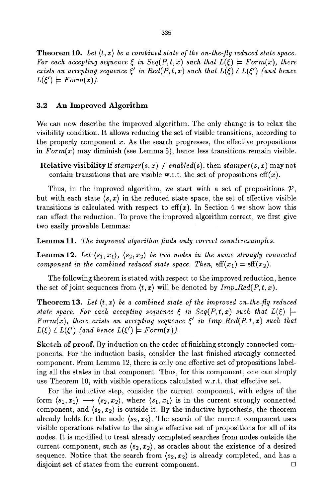**Theorem 10.** Let  $\langle t, x \rangle$  be a combined state of the on-the-fly reduced state space. *For each accepting sequence*  $\xi$  *in Seq(P,t,x) such that*  $L(\xi) \models Form(x)$ , there *exists an accepting sequence*  $\xi'$  in  $Red(P, t, x)$  such that  $L(\xi) \angle L(\xi')$  (and hence  $L(\xi') \models Form(x)$ .

#### 3.2 An Improved Algorithm

We can now describe the improved algorithm. The only change is to relax the visibility condition. It allows reducing the set of visible transitions, according to the property component  $x$ . As the search progresses, the effective propositions in *Form(x)* may diminish (see Lemma 5), hence less transitions remain visible.

**Relative visibility** If  $stamper(s, x) \neq enabled(s)$ , then  $stamper(s, x)$  may not contain transitions that are visible w.r.t. the set of propositions  $\text{eff}(x)$ .

Thus, in the improved algorithm, we start with a set of propositions  $P$ , but with each state  $(s, x)$  in the reduced state space, the set of effective visible transitions is calculated with respect to  $\text{eff}(x)$ . In Section 4 we show how this can affect the reduction. To prove the improved algorithm correct, we first give two easily provable Lemmas:

Lemma 11. *The improved algorithm finds only correct counterexamples.* 

Lemma12. Let  $\langle s_1,x_1\rangle,~\langle s_2,x_2\rangle$  be two nodes in the same strongly connected *component in the combined reduced state space. Then,*  $\mathrm{eff}(x_1) = \mathrm{eff}(x_2)$ .

The following theorem is stated with respect to the improved reduction, hence the set of joint sequences from  $\langle t, x \rangle$  will be denoted by  $Imp\_Red(P, t, x)$ .

**Theorem 13.** Let  $\langle t, x \rangle$  be a combined state of the improved on-the-fly reduced *state space. For each accepting sequence*  $\xi$  *in Seq(P,t, x) such that*  $L(\xi)$   $\models$ *Form(x), there exists an accepting sequence*  $\xi'$  *in Imp<sub>-Red</sub>(P,t, x) such that*  $L(\xi) \perp L(\xi')$  (and hence  $L(\xi') \models Form(x)$ ).

Sketch of proof. By induction on the order of finishing strongly connected components. For the induction basis, consider the last finished strongly connected component. From Lemma 12, there is only one effective set of propositions labeling all the states in that component. Thus, for this component, one can simply use Theorem 10, with visible operations calculated w.r.t, that effective set.

For the inductive step, consider the current component, with edges of the form  $\langle s_1, x_1 \rangle \longrightarrow \langle s_2, x_2 \rangle$ , where  $\langle s_1, x_1 \rangle$  is in the current strongly connected component, and  $\langle s_2, x_2 \rangle$  is outside it. By the inductive hypothesis, the theorem already holds for the node  $\langle s_2, x_2 \rangle$ . The search of the current component uses visible operations relative to the single effective set of propositions for all of its nodes. It is modified to treat already completed searches from nodes outside the current component, such as  $\langle s_2, x_2 \rangle$ , as oracles about the existence of a desired sequence. Notice that the search from  $\langle s_2, x_2 \rangle$  is already completed, and has a disjoint set of states from the current component.  $\Box$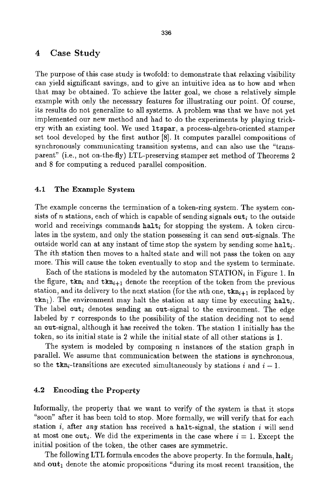#### 4 Case Study

The purpose of this case study is twofold: to demonstrate that relaxing visibility can yield significant savings, and to give an intuitive idea as to how and when that may be obtained. To achieve the latter goal, we chose a relatively simple example with only the necessary features for illustrating our point. Of course, its results do not generalize to all systems. A problem was that we have not yet implemented our new method and had to do the experiments by playing trickery with an existing tool. We used ltspar, a process-algebra-oriented stamper set tool developed by the first author [8]. It computes parallel compositions of synchronously communicating transition systems, and can also use the "transparent" (i.e., not on-the-fly) LTL-preserving stamper set method of Theorems 2 and 8 for computing a reduced parallel composition.

#### 4.1 The Example System

The example concerns the termination of a token-ring system. The system consists of n stations, each of which is capable of sending signals out<sub>i</sub> to the outside world and receivings commands  $\text{halt}_i$  for stopping the system. A token circulates in the system, and only the station possessing it can send out-signals. The outside world can at any instant of time stop the system by sending some halts. The ith station then moves to a halted state and will not pass the token on any more. This will cause the token eventually to stop and the system to terminate.

Each of the stations is modeled by the automaton  $STATION<sub>i</sub>$  in Figure 1. In the figure,  $tkn_i$  and  $tkn_{i+1}$  denote the reception of the token from the previous station, and its delivery to the next station (for the nth one,  $tkn_{i+1}$  is replaced by  $tkn_1$ ). The environment may halt the station at any time by executing halt. The label out<sub>i</sub> denotes sending an out-signal to the environment. The edge labeled by  $\tau$  corresponds to the possibility of the station deciding not to send an out-signal, although it has received the token. The station 1 initially has the token, so its initial state is 2 while the initial state of all other stations is 1.

The system is modeled by composing  $n$  instances of the station graph in parallel. We assume that communication between the stations is synchronous, so the  $\text{tkn}_i$ -transitions are executed simultaneously by stations i and  $i-1$ .

#### 4.2 Encoding the Property

Informally, the property that we want to verify of the system is that it stops "soon" after it has been told to stop. More formally, we will verify that for each station  $i$ , after *any* station has received a halt-signal, the station  $i$  will send at most one out<sub>i</sub>. We did the experiments in the case where  $i = 1$ . Except the initial position of the token, the other cases are symmetric.

The following LTL formula encodes the above property. In the formula,  $\mathbf{halt}_i$ and  $out_1$  denote the atomic propositions "during its most recent transition, the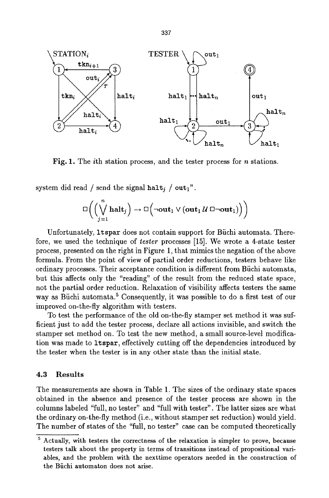

Fig. 1. The *i*th station process, and the tester process for *n* stations.

system did read / send the signal halt; /  $out_1$ ".

$$
\Box \left( \left( \bigvee_{j=1}^n \mathbf{halt}_j \right) \rightarrow \Box \left( \neg \mathbf{out}_1 \vee (\mathbf{out}_1 \mathcal{U} \boxdot \neg \mathbf{out}_1) \right) \right)
$$

Unfortunately, ltspar does not contain support for Biichi automata. Therefore, we used the technique of *tester* processes [15]. We wrote a 4-state tester process, presented on the right in Figure 1, that mimics the negation of the above formula. From the point of view of partial order reductions, testers behave like ordinary processes. Their acceptance condition is different from Bfichi automata, but this affects only the "reading" of the result from the reduced state space, not the partial order reduction. Relaxation of visibility affects testers the same way as Büchi automata.<sup>5</sup> Consequently, it was possible to do a first test of our improved on-the-fly algorithm with testers.

To test the performance of the old on-the-fly stamper set method it was sufficient just to add the tester process, declare all actions invisible, and switch the stamper set method on. To test the new method, a small source-level modification was made to ltspar, effectively cutting off the dependencies introduced by the tester when the tester is in any other state than the initial state.

#### **4.3 Results**

The measurements are shown in Table 1. The sizes of the ordinary state spaces obtained in the absence and presence of the tester process are shown in the columns labeled "full, no tester" and "full with tester". The latter sizes are what the ordinary on-the-fly method (i.e., without stamper set reduction) would yield. The number of states of the "full, no tester" case can be computed theoretically

 $\frac{5 \text{ Actually, with testers the correctness of the relaxation is simpler to prove, because}$ **testers** talk about the property in terms of transitions instead of propositional variables, and the problem with the nexttime operators needed in the construction of **the** Biichi automaton does not arise.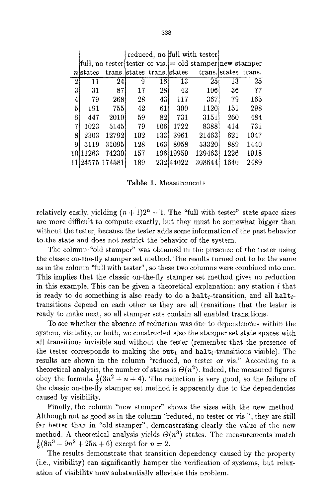|                |                 |       |     |                             |            | reduced, no full with tester                                     |      |                      |
|----------------|-----------------|-------|-----|-----------------------------|------------|------------------------------------------------------------------|------|----------------------|
|                |                 |       |     |                             |            | full, no tester tester or vis. $\vert$ = old stamper new stamper |      |                      |
|                | nstates         |       |     | trans. states trans. states |            |                                                                  |      | trans. states trans. |
| $\overline{2}$ | 11              | 24    | 9   | 16                          | 13         | 25                                                               | 13   | 25                   |
| $\bf{3}$       | 31              | 87    | 17  | 281                         | 42         | 106                                                              | 36   | 77                   |
| 4              | 79              | 2681  | 28  | 43                          | 117        | 367                                                              | 79   | 165                  |
| $\bf{5}$       | 191             | 755   | 42  | 61                          | 300        | 1120                                                             | 151  | 298                  |
| 6              | 447             | 2010  | 59  | 821                         | 731        | 3151                                                             | 260  | 484                  |
| $\overline{7}$ | 1023            | 5145  | 79  | 106                         | 1722       | 8388                                                             | 414  | 731                  |
| 8              | 2303            | 12792 | 102 | 1331                        | 3961       | 21463                                                            | 621  | 1047                 |
| 9              | 5119            | 31095 | 128 | 163                         | 8958       | 53320                                                            | 889  | 1440                 |
|                | 10 11 263       | 74230 | 157 |                             | 196119959  | 129463                                                           | 1226 | 1918                 |
|                | 11 24575 174581 |       | 189 |                             | 232 440 22 | 308644                                                           | 1640 | 2489                 |

Table 1. Measurements

relatively easily, yielding  $(n + 1)2^n - 1$ . The "full with tester" state space sizes are more difficult to compute exactly, but they must be somewhat bigger than without the tester, because the tester adds some information of the past behavior to the state and does not restrict the behavior of the system.

The column "old stamper" was obtained in the presence of the tester using the classic on-the~fly stamper set method. The results turned out to be the same as in the column "full with tester", so these two columns were combined into one. This implies that the classic on-the-fly stamper set method gives no reduction in this example. This can be given a theoretical explanation: any station  $i$  that is ready to do something is also ready to do a halt-t-transition, and all halttransitions depend on each other as they are all transitions that the tester is ready to make next, so all stamper sets contain all enabled transitions.

To see whether the absence of reduction was due to dependencies within the system, visibility, or both, we constructed also the stamper set state spaces with all transitions invisible and without the tester (remember that the presence of the tester corresponds to making the out<sub>1</sub> and halt<sub>i</sub>-transitions visible). The results are shown in the column "reduced, no tester or vis." According to a theoretical analysis, the number of states is  $\Theta(n^2)$ . Indeed, the measured figures obey the formula  $\frac{1}{2}(3n^2 + n + 4)$ . The reduction is very good, so the failure of the classic on-the-fly stamper set method is apparently due to the dependencies caused by visibility.

Finally, the column "new stamper" shows the sizes with the new method. Although not as good as in the column "reduced, no tester or vis.", they are still far better than in "old stamper", demonstrating clearly the value of the new method. A theoretical analysis yields  $\Theta(n^3)$  states. The measurements match  $\frac{1}{6}(8n^3 - 9n^2 + 25n + 6)$  except for  $n = 2$ .

The results demonstrate that transition dependency caused by the property (i.e., visibility) can significantly hamper the verification of systems, but relaxation of visibility may substantially alleviate this problem.

338